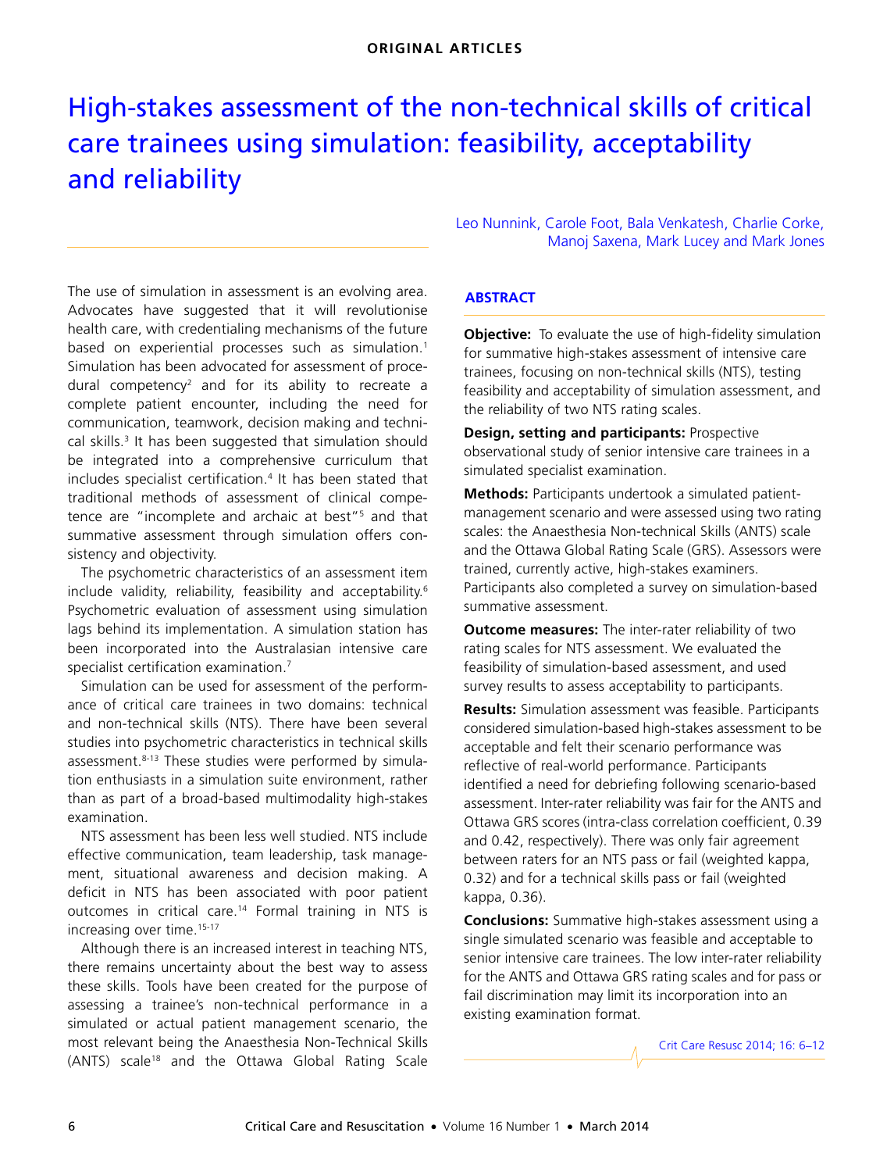# <span id="page-0-0"></span>High-stakes assessment of the non-technical skills of critical care trainees using simulation: feasibility, acceptability and reliability

communication, teamwork, decision making and techni-cal skills.<sup>[3](#page-4-2)</sup> It has been suggested that simulation should okins. Te nas been saggested that sink be integrated into a comprehensive curriculum that includes specialist certification.<sup>4</sup> It has been stated that traditional methods of assessment of clinical compe-The use of simulation in assessment is an evolving area. Advocates have suggested that it will revolutionise health care, with credentialing mechanisms of the future based on experiential processes such as simulation.<sup>[1](#page-4-0)</sup> Simulation has been advocated for assessment of procedural competency<sup>2</sup> and for its ability to recreate a complete patient encounter, including the need for tence are "incomplete and archaic at best"<sup>5</sup> and that summative assessment through simulation offers consistency and objectivity.

The psychometric characteristics of an assessment item include validity, reliability, feasibility and acceptability.<sup>[6](#page-4-5)</sup> Psychometric evaluation of assessment using simulation lags behind its implementation. A simulation station has been incorporated into the Australasian intensive care specialist certification examination.<sup>[7](#page-4-6)</sup>

Simulation can be used for assessment of the performance of critical care trainees in two domains: technical and non-technical skills (NTS). There have been several studies into psychometric characteristics in technical skills assessment.<sup>[8-](#page-4-7)13</sup> These studies were performed by simulation enthusiasts in a simulation suite environment, rather than as part of a broad-based multimodality high-stakes examination.

NTS assessment has been less well studied. NTS include effective communication, team leadership, task management, situational awareness and decision making. A deficit in NTS has been associated with poor patient outcomes in critical care[.14](#page-4-9) Formal training in NTS is increasing over time.<sup>[15-](#page-4-10)[17](#page-4-11)</sup>

Although there is an increased interest in teaching NTS, there remains uncertainty about the best way to assess these skills. Tools have been created for the purpose of assessing a trainee's non-technical performance in a simulated or actual patient management scenario, the most relevant being the Anaesthesia Non-Technical Skills (ANTS) scale[18](#page-5-0) and the Ottawa Global Rating Scale

Leo Nunnink, Carole Foot, Bala Venkatesh, Charlie Corke, Manoj Saxena, Mark Lucey and Mark Jones

## **ABSTRACT**

**Objective:** To evaluate the use of high-fidelity simulation for summative high-stakes assessment of intensive care trainees, focusing on non-technical skills (NTS), testing feasibility and acceptability of simulation assessment, and the reliability of two NTS rating scales.

**Design, setting and participants:** Prospective observational study of senior intensive care trainees in a simulated specialist examination.

**Methods:** Participants undertook a simulated patientmanagement scenario and were assessed using two rating scales: the Anaesthesia Non-technical Skills (ANTS) scale and the Ottawa Global Rating Scale (GRS). Assessors were trained, currently active, high-stakes examiners. Participants also completed a survey on simulation-based summative assessment.

**Outcome measures:** The inter-rater reliability of two rating scales for NTS assessment. We evaluated the feasibility of simulation-based assessment, and used survey results to assess acceptability to participants.

**Results:** Simulation assessment was feasible. Participants considered simulation-based high-stakes assessment to be acceptable and felt their scenario performance was reflective of real-world performance. Participants identified a need for debriefing following scenario-based assessment. Inter-rater reliability was fair for the ANTS and Ottawa GRS scores (intra-class correlation coefficient, 0.39 and 0.42, respectively). There was only fair agreement between raters for an NTS pass or fail (weighted kappa, 0.32) and for a technical skills pass or fail (weighted kappa, 0.36).

**Conclusions:** Summative high-stakes assessment using a single simulated scenario was feasible and acceptable to senior intensive care trainees. The low inter-rater reliability for the ANTS and Ottawa GRS rating scales and for pass or fail discrimination may limit its incorporation into an existing examination format.

Crit Care Resusc 2014; 16: 6–12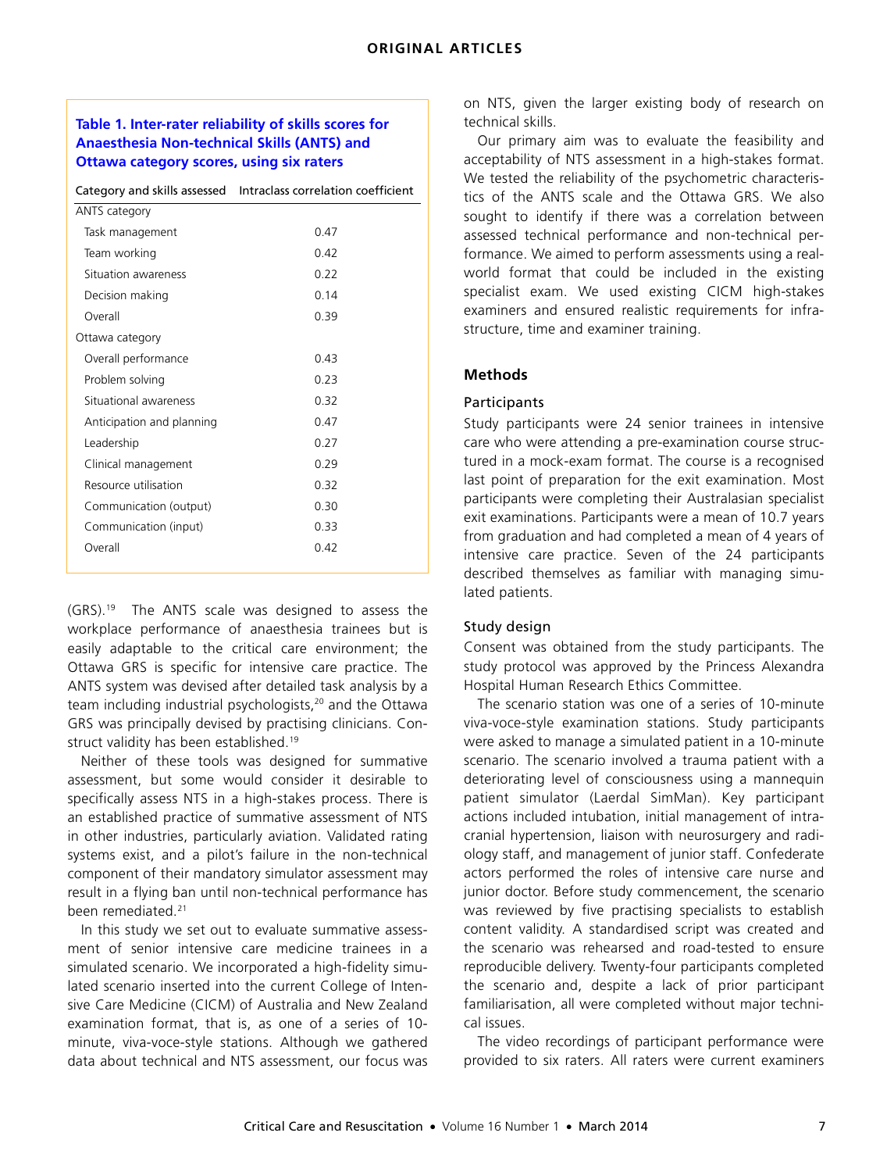## **Table 1. Inter-rater reliability of skills scores for Anaesthesia Non-technical Skills (ANTS) and Ottawa category scores, using six raters**

|                           | Category and skills assessed Intraclass correlation coefficient |  |  |
|---------------------------|-----------------------------------------------------------------|--|--|
| ANTS category             |                                                                 |  |  |
| Task management           | 0.47                                                            |  |  |
| Team working              | 0.42                                                            |  |  |
| Situation awareness       | 0.22                                                            |  |  |
| Decision making           | 0.14                                                            |  |  |
| Overall                   | 0.39                                                            |  |  |
| Ottawa category           |                                                                 |  |  |
| Overall performance       | 0.43                                                            |  |  |
| Problem solving           | 0.23                                                            |  |  |
| Situational awareness     | 0.32                                                            |  |  |
| Anticipation and planning | 0.47                                                            |  |  |
| Leadership                | 0.27                                                            |  |  |
| Clinical management       | 0.29                                                            |  |  |
| Resource utilisation      | 0.32                                                            |  |  |
| Communication (output)    | 0.30                                                            |  |  |
| Communication (input)     | 0.33                                                            |  |  |
| Overall                   | 0.42                                                            |  |  |
|                           |                                                                 |  |  |

(GRS).[19](#page-5-2) The ANTS scale was designed to assess the workplace performance of anaesthesia trainees but is easily adaptable to the critical care environment; the Ottawa GRS is specific for intensive care practice. The ANTS system was devised after detailed task analysis by a team including industrial psychologists,<sup>20</sup> and the Ottawa GRS was principally devised by practising clinicians. Construct validity has been established.[19](#page-5-2)

Neither of these tools was designed for summative assessment, but some would consider it desirable to specifically assess NTS in a high-stakes process. There is an established practice of summative assessment of NTS in other industries, particularly aviation. Validated rating systems exist, and a pilot's failure in the non-technical component of their mandatory simulator assessment may result in a flying ban until non-technical performance has been remediated[.21](#page-5-4)

In this study we set out to evaluate summative assessment of senior intensive care medicine trainees in a simulated scenario. We incorporated a high-fidelity simulated scenario inserted into the current College of Intensive Care Medicine (CICM) of Australia and New Zealand examination format, that is, as one of a series of 10 minute, viva-voce-style stations. Although we gathered data about technical and NTS assessment, our focus was on NTS, given the larger existing body of research on technical skills.

Our primary aim was to evaluate the feasibility and acceptability of NTS assessment in a high-stakes format. We tested the reliability of the psychometric characteristics of the ANTS scale and the Ottawa GRS. We also sought to identify if there was a correlation between assessed technical performance and non-technical performance. We aimed to perform assessments using a realworld format that could be included in the existing specialist exam. We used existing CICM high-stakes examiners and ensured realistic requirements for infrastructure, time and examiner training.

## **Methods**

#### **Participants**

Study participants were 24 senior trainees in intensive care who were attending a pre-examination course structured in a mock-exam format. The course is a recognised last point of preparation for the exit examination. Most participants were completing their Australasian specialist exit examinations. Participants were a mean of 10.7 years from graduation and had completed a mean of 4 years of intensive care practice. Seven of the 24 participants described themselves as familiar with managing simulated patients.

## Study design

Consent was obtained from the study participants. The study protocol was approved by the Princess Alexandra Hospital Human Research Ethics Committee.

The scenario station was one of a series of 10-minute viva-voce-style examination stations. Study participants were asked to manage a simulated patient in a 10-minute scenario. The scenario involved a trauma patient with a deteriorating level of consciousness using a mannequin patient simulator (Laerdal SimMan). Key participant actions included intubation, initial management of intracranial hypertension, liaison with neurosurgery and radiology staff, and management of junior staff. Confederate actors performed the roles of intensive care nurse and junior doctor. Before study commencement, the scenario was reviewed by five practising specialists to establish content validity. A standardised script was created and the scenario was rehearsed and road-tested to ensure reproducible delivery. Twenty-four participants completed the scenario and, despite a lack of prior participant familiarisation, all were completed without major technical issues.

The video recordings of participant performance were provided to six raters. All raters were current examiners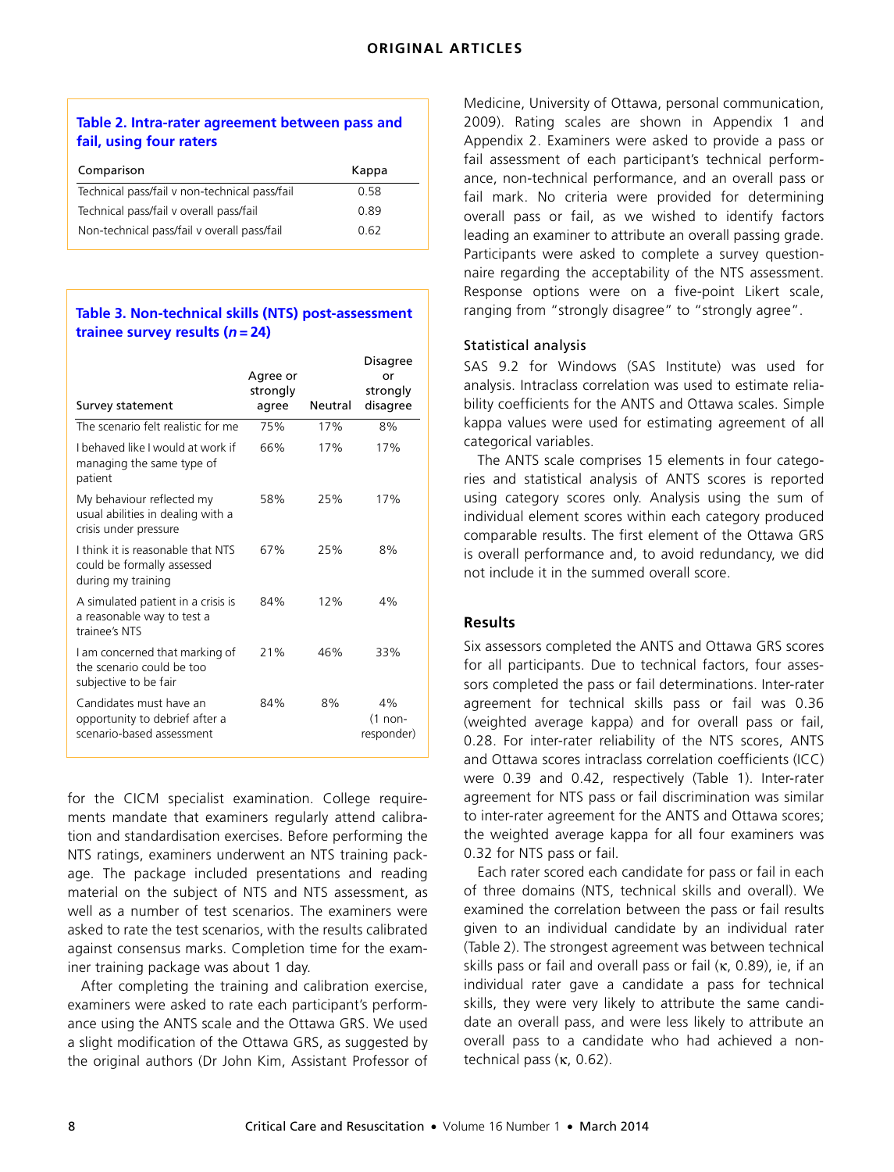## **Table 2. Intra-rater agreement between pass and fail, using four raters**

| Comparison                                    | Kappa |
|-----------------------------------------------|-------|
| Technical pass/fail v non-technical pass/fail | 0.58  |
| Technical pass/fail v overall pass/fail       | 0.89  |
| Non-technical pass/fail v overall pass/fail   | 0.62  |

## **Table 3. Non-technical skills (NTS) post-assessment trainee survey results (***n* **= 24)**

| Survey statement                                                                        | Agree or<br>strongly<br>agree | Neutral | Disagree<br>or<br>strongly<br>disagree |
|-----------------------------------------------------------------------------------------|-------------------------------|---------|----------------------------------------|
| The scenario felt realistic for me                                                      | 75%                           | 17%     | 8%                                     |
| I behaved like I would at work if<br>managing the same type of<br>patient               | 66%                           | 17%     | 17%                                    |
| My behaviour reflected my<br>usual abilities in dealing with a<br>crisis under pressure | 58%                           | 25%     | 17%                                    |
| I think it is reasonable that NTS<br>could be formally assessed<br>during my training   | 67%                           | 25%     | 8%                                     |
| A simulated patient in a crisis is<br>a reasonable way to test a<br>trainee's NTS       | 84%                           | 12%     | 4%                                     |
| I am concerned that marking of<br>the scenario could be too<br>subjective to be fair    | 21%                           | 46%     | 33%                                    |
| Candidates must have an<br>opportunity to debrief after a<br>scenario-based assessment  | 84%                           | 8%      | 4%<br>(1 non-<br>responder)            |

for the CICM specialist examination. College requirements mandate that examiners regularly attend calibration and standardisation exercises. Before performing the NTS ratings, examiners underwent an NTS training package. The package included presentations and reading material on the subject of NTS and NTS assessment, as well as a number of test scenarios. The examiners were asked to rate the test scenarios, with the results calibrated against consensus marks. Completion time for the examiner training package was about 1 day.

After completing the training and calibration exercise, examiners were asked to rate each participant's performance using the ANTS scale and the Ottawa GRS. We used a slight modification of the Ottawa GRS, as suggested by the original authors (Dr John Kim, Assistant Professor of Medicine, University of Ottawa, personal communication, 2009). Rating scales are shown in Appendix 1 and Appendix 2. Examiners were asked to provide a pass or fail assessment of each participant's technical performance, non-technical performance, and an overall pass or fail mark. No criteria were provided for determining overall pass or fail, as we wished to identify factors leading an examiner to attribute an overall passing grade. Participants were asked to complete a survey questionnaire regarding the acceptability of the NTS assessment. Response options were on a five-point Likert scale, ranging from "strongly disagree" to "strongly agree".

## Statistical analysis

SAS 9.2 for Windows (SAS Institute) was used for analysis. Intraclass correlation was used to estimate reliability coefficients for the ANTS and Ottawa scales. Simple kappa values were used for estimating agreement of all categorical variables.

The ANTS scale comprises 15 elements in four categories and statistical analysis of ANTS scores is reported using category scores only. Analysis using the sum of individual element scores within each category produced comparable results. The first element of the Ottawa GRS is overall performance and, to avoid redundancy, we did not include it in the summed overall score.

## **Results**

Six assessors completed the ANTS and Ottawa GRS scores for all participants. Due to technical factors, four assessors completed the pass or fail determinations. Inter-rater agreement for technical skills pass or fail was 0.36 (weighted average kappa) and for overall pass or fail, 0.28. For inter-rater reliability of the NTS scores, ANTS and Ottawa scores intraclass correlation coefficients (ICC) were 0.39 and 0.42, respectively (Table 1). Inter-rater agreement for NTS pass or fail discrimination was similar to inter-rater agreement for the ANTS and Ottawa scores; the weighted average kappa for all four examiners was 0.32 for NTS pass or fail.

Each rater scored each candidate for pass or fail in each of three domains (NTS, technical skills and overall). We examined the correlation between the pass or fail results given to an individual candidate by an individual rater (Table 2). The strongest agreement was between technical skills pass or fail and overall pass or fail (κ, 0.89), ie, if an individual rater gave a candidate a pass for technical skills, they were very likely to attribute the same candidate an overall pass, and were less likely to attribute an overall pass to a candidate who had achieved a nontechnical pass (κ, 0.62).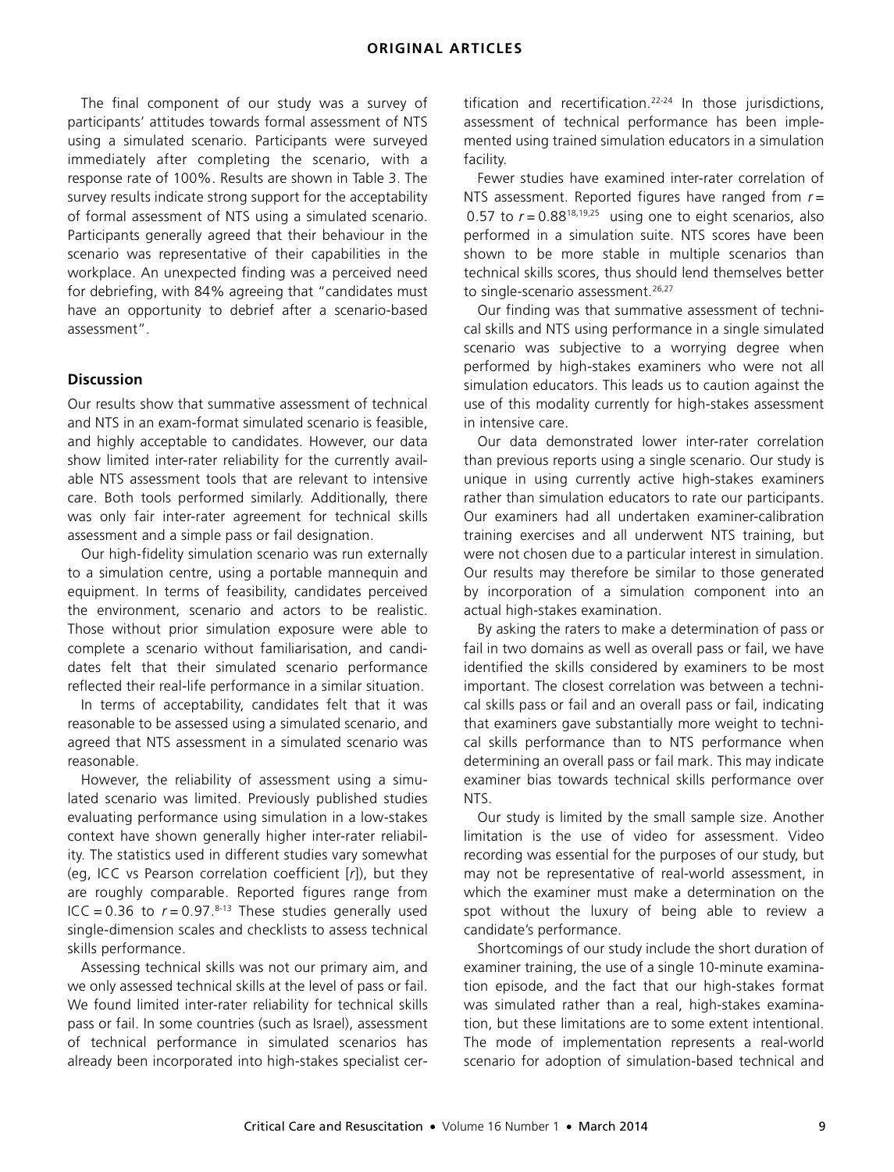The final component of our study was a survey of participants' attitudes towards formal assessment of NTS using a simulated scenario. Participants were surveyed immediately after completing the scenario, with a response rate of 100%. Results are shown in Table 3. The survey results indicate strong support for the acceptability of formal assessment of NTS using a simulated scenario. Participants generally agreed that their behaviour in the scenario was representative of their capabilities in the workplace. An unexpected finding was a perceived need for debriefing, with 84% agreeing that "candidates must have an opportunity to debrief after a scenario-based assessment".

#### **Discussion**

Our results show that summative assessment of technical and NTS in an exam-format simulated scenario is feasible, and highly acceptable to candidates. However, our data show limited inter-rater reliability for the currently available NTS assessment tools that are relevant to intensive care. Both tools performed similarly. Additionally, there was only fair inter-rater agreement for technical skills assessment and a simple pass or fail designation.

Our high-fidelity simulation scenario was run externally to a simulation centre, using a portable mannequin and equipment. In terms of feasibility, candidates perceived the environment, scenario and actors to be realistic. Those without prior simulation exposure were able to complete a scenario without familiarisation, and candidates felt that their simulated scenario performance reflected their real-life performance in a similar situation.

In terms of acceptability, candidates felt that it was reasonable to be assessed using a simulated scenario, and agreed that NTS assessment in a simulated scenario was reasonable.

However, the reliability of assessment using a simulated scenario was limited. Previously published studies evaluating performance using simulation in a low-stakes context have shown generally higher inter-rater reliability. The statistics used in different studies vary somewhat (eg, ICC vs Pearson correlation coefficient [*r*]), but they are roughly comparable. Reported figures range from ICC =  $0.36$  to  $r = 0.97$ .<sup>[8](#page-4-7)[-13](#page-4-8)</sup> These studies generally used single-dimension scales and checklists to assess technical skills performance.

Assessing technical skills was not our primary aim, and we only assessed technical skills at the level of pass or fail. We found limited inter-rater reliability for technical skills pass or fail. In some countries (such as Israel), assessment of technical performance in simulated scenarios has already been incorporated into high-stakes specialist certification and recertification.<sup>[22](#page-5-5)-[24](#page-5-6)</sup> In those jurisdictions, assessment of technical performance has been implemented using trained simulation educators in a simulation facility.

Fewer studies have examined inter-rater correlation of NTS assessment. Reported figures have ranged from *r* = 0.57 to  $r = 0.88^{18,19,25}$  $r = 0.88^{18,19,25}$  $r = 0.88^{18,19,25}$  $r = 0.88^{18,19,25}$  $r = 0.88^{18,19,25}$  using one to eight scenarios, also performed in a simulation suite. NTS scores have been shown to be more stable in multiple scenarios than technical skills scores, thus should lend themselves better to single-scenario assessment.<sup>[26](#page-5-8)[,27](#page-5-1)</sup>

Our finding was that summative assessment of technical skills and NTS using performance in a single simulated scenario was subjective to a worrying degree when performed by high-stakes examiners who were not all simulation educators. This leads us to caution against the use of this modality currently for high-stakes assessment in intensive care.

Our data demonstrated lower inter-rater correlation than previous reports using a single scenario. Our study is unique in using currently active high-stakes examiners rather than simulation educators to rate our participants. Our examiners had all undertaken examiner-calibration training exercises and all underwent NTS training, but were not chosen due to a particular interest in simulation. Our results may therefore be similar to those generated by incorporation of a simulation component into an actual high-stakes examination.

By asking the raters to make a determination of pass or fail in two domains as well as overall pass or fail, we have identified the skills considered by examiners to be most important. The closest correlation was between a technical skills pass or fail and an overall pass or fail, indicating that examiners gave substantially more weight to technical skills performance than to NTS performance when determining an overall pass or fail mark. This may indicate examiner bias towards technical skills performance over NTS.

Our study is limited by the small sample size. Another limitation is the use of video for assessment. Video recording was essential for the purposes of our study, but may not be representative of real-world assessment, in which the examiner must make a determination on the spot without the luxury of being able to review a candidate's performance.

Shortcomings of our study include the short duration of examiner training, the use of a single 10-minute examination episode, and the fact that our high-stakes format was simulated rather than a real, high-stakes examination, but these limitations are to some extent intentional. The mode of implementation represents a real-world scenario for adoption of simulation-based technical and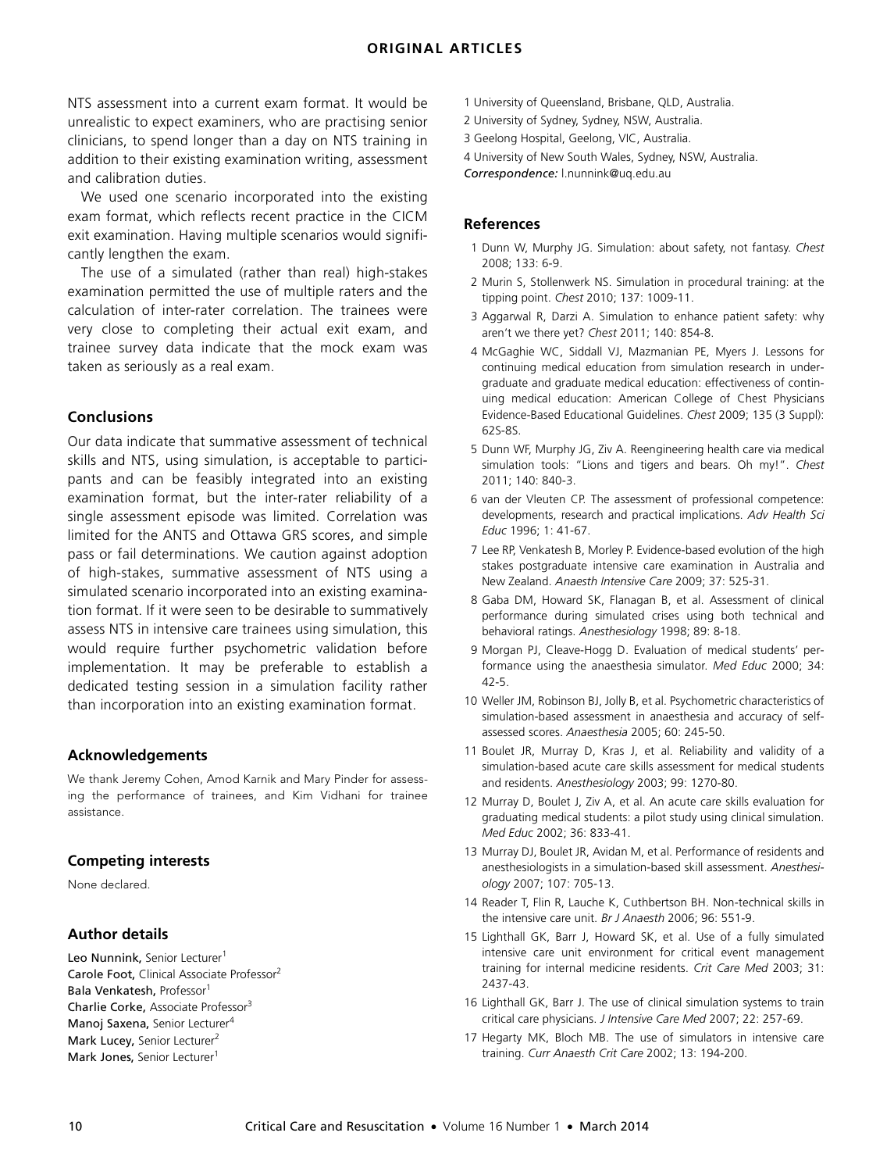NTS assessment into a current exam format. It would be unrealistic to expect examiners, who are practising senior clinicians, to spend longer than a day on NTS training in addition to their existing examination writing, assessment and calibration duties.

We used one scenario incorporated into the existing exam format, which reflects recent practice in the CICM exit examination. Having multiple scenarios would significantly lengthen the exam.

The use of a simulated (rather than real) high-stakes examination permitted the use of multiple raters and the calculation of inter-rater correlation. The trainees were very close to completing their actual exit exam, and trainee survey data indicate that the mock exam was taken as seriously as a real exam.

## **Conclusions**

Our data indicate that summative assessment of technical skills and NTS, using simulation, is acceptable to participants and can be feasibly integrated into an existing examination format, but the inter-rater reliability of a single assessment episode was limited. Correlation was limited for the ANTS and Ottawa GRS scores, and simple pass or fail determinations. We caution against adoption of high-stakes, summative assessment of NTS using a simulated scenario incorporated into an existing examination format. If it were seen to be desirable to summatively assess NTS in intensive care trainees using simulation, this would require further psychometric validation before implementation. It may be preferable to establish a dedicated testing session in a simulation facility rather than incorporation into an existing examination format.

#### **Acknowledgements**

We thank Jeremy Cohen, Amod Karnik and Mary Pinder for assessing the performance of trainees, and Kim Vidhani for trainee assistance.

#### **Competing interests**

None declared.

## **Author details**

Leo Nunnink, Senior Lecturer<sup>1</sup> Carole Foot, Clinical Associate Professor<sup>2</sup> Bala Venkatesh, Professor<sup>1</sup> Charlie Corke, Associate Professor<sup>3</sup> Manoj Saxena, Senior Lecturer<sup>4</sup> Mark Lucey, Senior Lecturer<sup>2</sup> Mark Jones, Senior Lecturer<sup>1</sup>

- 1 University of Queensland, Brisbane, QLD, Australia.
- 2 University of Sydney, Sydney, NSW, Australia.
- 3 Geelong Hospital, Geelong, VIC, Australia.
- 4 University of New South Wales, Sydney, NSW, Australia.

*Correspondence:* l.nunnink@uq.edu.au

#### **References**

- <span id="page-4-0"></span>1 Dunn W, Murphy JG. Simulation: about safety, not fantasy. *Chest* 2008; 133: 6-9.
- <span id="page-4-1"></span>2 Murin S, Stollenwerk NS. Simulation in procedural training: at the tipping point. *Chest* 2010; 137: 1009-11.
- <span id="page-4-2"></span>3 Aggarwal R, Darzi A. Simulation to enhance patient safety: why aren't we there yet? *Chest* 2011; 140: 854-8.
- <span id="page-4-3"></span>4 McGaghie WC, Siddall VJ, Mazmanian PE, Myers J. Lessons for continuing medical education from simulation research in undergraduate and graduate medical education: effectiveness of continuing medical education: American College of Chest Physicians Evidence-Based Educational Guidelines. *Chest* 2009; 135 (3 Suppl): 62S-8S.
- <span id="page-4-4"></span>5 Dunn WF, Murphy JG, Ziv A. Reengineering health care via medical simulation tools: "Lions and tigers and bears. Oh my!". *Chest* 2011; 140: 840-3.
- <span id="page-4-5"></span>6 van der Vleuten CP. The assessment of professional competence: developments, research and practical implications. *Adv Health Sci Educ* 1996; 1: 41-67.
- <span id="page-4-6"></span>7 Lee RP, Venkatesh B, Morley P. Evidence-based evolution of the high stakes postgraduate intensive care examination in Australia and New Zealand. *Anaesth Intensive Care* 2009; 37: 525-31.
- <span id="page-4-7"></span>8 Gaba DM, Howard SK, Flanagan B, et al. Assessment of clinical performance during simulated crises using both technical and behavioral ratings. *Anesthesiology* 1998; 89: 8-18.
- 9 Morgan PJ, Cleave-Hogg D. Evaluation of medical students' performance using the anaesthesia simulator. *Med Educ* 2000; 34: 42-5.
- 10 Weller JM, Robinson BJ, Jolly B, et al. Psychometric characteristics of simulation-based assessment in anaesthesia and accuracy of selfassessed scores. *Anaesthesia* 2005; 60: 245-50.
- 11 Boulet JR, Murray D, Kras J, et al. Reliability and validity of a simulation-based acute care skills assessment for medical students and residents. *Anesthesiology* 2003; 99: 1270-80.
- 12 Murray D, Boulet J, Ziv A, et al. An acute care skills evaluation for graduating medical students: a pilot study using clinical simulation. *Med Educ* 2002; 36: 833-41.
- <span id="page-4-8"></span>13 Murray DJ, Boulet JR, Avidan M, et al. Performance of residents and anesthesiologists in a simulation-based skill assessment. *Anesthesiology* 2007; 107: 705-13.
- <span id="page-4-9"></span>14 Reader T, Flin R, Lauche K, Cuthbertson BH. Non-technical skills in the intensive care unit. *Br J Anaesth* 2006; 96: 551-9.
- <span id="page-4-10"></span>15 Lighthall GK, Barr J, Howard SK, et al. Use of a fully simulated intensive care unit environment for critical event management training for internal medicine residents. *Crit Care Med* 2003; 31: 2437-43.
- 16 Lighthall GK, Barr J. The use of clinical simulation systems to train critical care physicians. *J Intensive Care Med* 2007; 22: 257-69.
- <span id="page-4-11"></span>17 Hegarty MK, Bloch MB. The use of simulators in intensive care training. *Curr Anaesth Crit Care* 2002; 13: 194-200.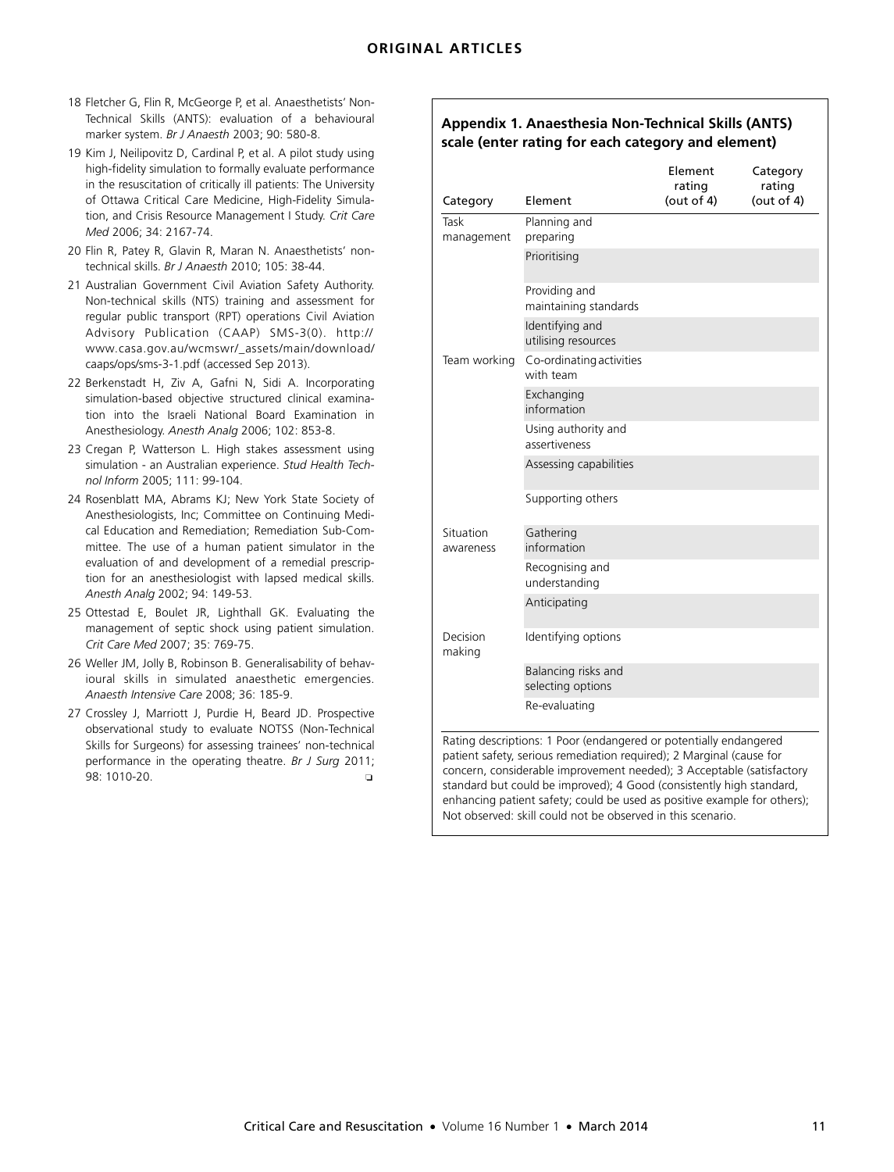## **ORIGINAL ARTICLES**

- <span id="page-5-0"></span>18 Fletcher G, Flin R, McGeorge P, et al. Anaesthetists' Non-Technical Skills (ANTS): evaluation of a behavioural marker system. *Br J Anaesth* 2003; 90: 580-8.
- <span id="page-5-2"></span>19 Kim J, Neilipovitz D, Cardinal P, et al. A pilot study using high-fidelity simulation to formally evaluate performance in the resuscitation of critically ill patients: The University of Ottawa Critical Care Medicine, High-Fidelity Simulation, and Crisis Resource Management I Study. *Crit Care Med* 2006; 34: 2167-74.
- <span id="page-5-3"></span>20 Flin R, Patey R, Glavin R, Maran N. Anaesthetists' nontechnical skills. *Br J Anaesth* 2010; 105: 38-44.
- <span id="page-5-4"></span>21 Australian Government Civil Aviation Safety Authority. [Non-technical skills \(NTS\) training and assessment for](http://www.casa.gov.au/wcmswr/_assets/main/download/caaps/ops/sms-3-1.pdf) regular public transport (RPT) operations Civil Aviation Advisory Publication (CAAP) SMS-3(0). http:// www.casa.gov.au/wcmswr/\_assets/main/download/ caaps/ops/sms-3-1.pdf (accessed Sep 2013).
- <span id="page-5-5"></span>22 Berkenstadt H, Ziv A, Gafni N, Sidi A. Incorporating simulation-based objective structured clinical examination into the Israeli National Board Examination in Anesthesiology. *Anesth Analg* 2006; 102: 853-8.
- 23 Cregan P, Watterson L. High stakes assessment using simulation - an Australian experience. *Stud Health Technol Inform* 2005; 111: 99-104.
- <span id="page-5-6"></span>24 Rosenblatt MA, Abrams KJ; New York State Society of Anesthesiologists, Inc; Committee on Continuing Medical Education and Remediation; Remediation Sub-Committee. The use of a human patient simulator in the evaluation of and development of a remedial prescription for an anesthesiologist with lapsed medical skills. *Anesth Analg* 2002; 94: 149-53.
- <span id="page-5-7"></span>25 Ottestad E, Boulet JR, Lighthall GK. Evaluating the management of septic shock using patient simulation. *Crit Care Med* 2007; 35: 769-75.
- <span id="page-5-8"></span>26 Weller JM, Jolly B, Robinson B. Generalisability of behavioural skills in simulated anaesthetic emergencies. *Anaesth Intensive Care* 2008; 36: 185-9.
- <span id="page-5-1"></span>27 Crossley J, Marriott J, Purdie H, Beard JD. Prospective observational study to evaluate NOTSS (Non-Technical Skills for Surgeons) for assessing trainees' non-technical performance in the operating theatre. *Br J Surg* 2011; 98: 1010-20. ❏

## **Appendix 1. Anaesthesia Non-Technical Skills (ANTS) scale (enter rating for each category and element)**

|                        |                                                                                                                                                                                                                                                                                                                                                                        | Element<br>rating | Category<br>rating |
|------------------------|------------------------------------------------------------------------------------------------------------------------------------------------------------------------------------------------------------------------------------------------------------------------------------------------------------------------------------------------------------------------|-------------------|--------------------|
| Category               | Element                                                                                                                                                                                                                                                                                                                                                                | (out of $4$ )     | (out of $4$ )      |
| Task<br>management     | Planning and<br>preparing                                                                                                                                                                                                                                                                                                                                              |                   |                    |
|                        | Prioritising                                                                                                                                                                                                                                                                                                                                                           |                   |                    |
|                        | Providing and<br>maintaining standards                                                                                                                                                                                                                                                                                                                                 |                   |                    |
|                        | Identifying and<br>utilising resources                                                                                                                                                                                                                                                                                                                                 |                   |                    |
| Team working           | Co-ordinating activities<br>with team                                                                                                                                                                                                                                                                                                                                  |                   |                    |
|                        | Exchanging<br>information                                                                                                                                                                                                                                                                                                                                              |                   |                    |
|                        | Using authority and<br>assertiveness                                                                                                                                                                                                                                                                                                                                   |                   |                    |
|                        | Assessing capabilities                                                                                                                                                                                                                                                                                                                                                 |                   |                    |
|                        | Supporting others                                                                                                                                                                                                                                                                                                                                                      |                   |                    |
| Situation<br>awareness | Gathering<br>information                                                                                                                                                                                                                                                                                                                                               |                   |                    |
|                        | Recognising and<br>understanding                                                                                                                                                                                                                                                                                                                                       |                   |                    |
|                        | Anticipating                                                                                                                                                                                                                                                                                                                                                           |                   |                    |
| Decision<br>making     | Identifying options                                                                                                                                                                                                                                                                                                                                                    |                   |                    |
|                        | Balancing risks and<br>selecting options                                                                                                                                                                                                                                                                                                                               |                   |                    |
|                        | Re-evaluating                                                                                                                                                                                                                                                                                                                                                          |                   |                    |
|                        | Rating descriptions: 1 Poor (endangered or potentially endangered<br>patient safety, serious remediation required); 2 Marginal (cause for<br>concern, considerable improvement needed); 3 Acceptable (satisfactory<br>standard but could be improved); 4 Good (consistently high standard,<br>enhancing patient safety; could be used as positive example for others); |                   |                    |

Not observed: skill could not be observed in this scenario.